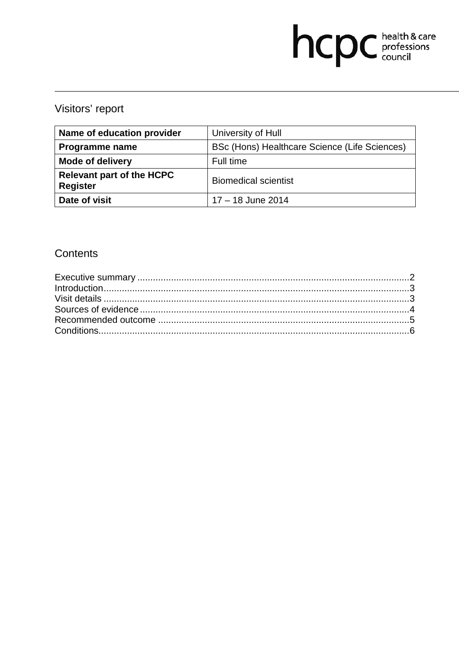# hcpc health & care

# Visitors' report

| Name of education provider                          | University of Hull                            |
|-----------------------------------------------------|-----------------------------------------------|
| Programme name                                      | BSc (Hons) Healthcare Science (Life Sciences) |
| <b>Mode of delivery</b>                             | Full time                                     |
| <b>Relevant part of the HCPC</b><br><b>Register</b> | <b>Biomedical scientist</b>                   |
| Date of visit                                       | 17 - 18 June 2014                             |

## **Contents**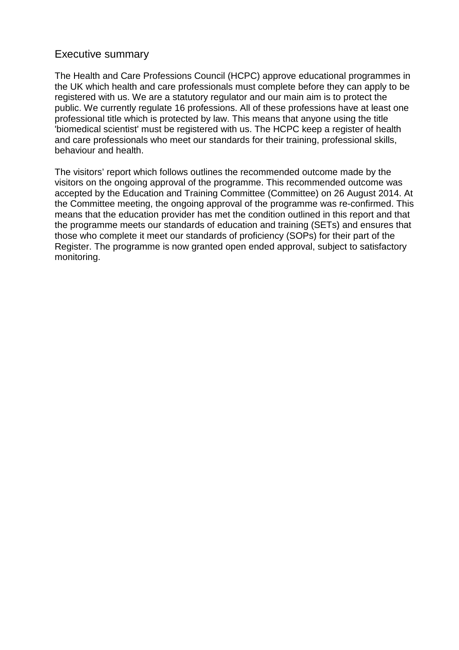#### Executive summary

The Health and Care Professions Council (HCPC) approve educational programmes in the UK which health and care professionals must complete before they can apply to be registered with us. We are a statutory regulator and our main aim is to protect the public. We currently regulate 16 professions. All of these professions have at least one professional title which is protected by law. This means that anyone using the title 'biomedical scientist' must be registered with us. The HCPC keep a register of health and care professionals who meet our standards for their training, professional skills, behaviour and health.

The visitors' report which follows outlines the recommended outcome made by the visitors on the ongoing approval of the programme. This recommended outcome was accepted by the Education and Training Committee (Committee) on 26 August 2014. At the Committee meeting, the ongoing approval of the programme was re-confirmed. This means that the education provider has met the condition outlined in this report and that the programme meets our standards of education and training (SETs) and ensures that those who complete it meet our standards of proficiency (SOPs) for their part of the Register. The programme is now granted open ended approval, subject to satisfactory monitoring.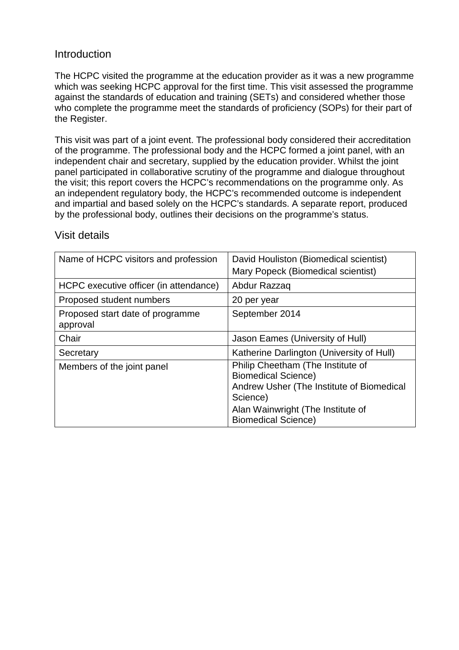#### **Introduction**

The HCPC visited the programme at the education provider as it was a new programme which was seeking HCPC approval for the first time. This visit assessed the programme against the standards of education and training (SETs) and considered whether those who complete the programme meet the standards of proficiency (SOPs) for their part of the Register.

This visit was part of a joint event. The professional body considered their accreditation of the programme. The professional body and the HCPC formed a joint panel, with an independent chair and secretary, supplied by the education provider. Whilst the joint panel participated in collaborative scrutiny of the programme and dialogue throughout the visit; this report covers the HCPC's recommendations on the programme only. As an independent regulatory body, the HCPC's recommended outcome is independent and impartial and based solely on the HCPC's standards. A separate report, produced by the professional body, outlines their decisions on the programme's status.

| Name of HCPC visitors and profession         | David Houliston (Biomedical scientist)<br>Mary Popeck (Biomedical scientist)                                                                                                                |
|----------------------------------------------|---------------------------------------------------------------------------------------------------------------------------------------------------------------------------------------------|
| HCPC executive officer (in attendance)       | Abdur Razzaq                                                                                                                                                                                |
| Proposed student numbers                     | 20 per year                                                                                                                                                                                 |
| Proposed start date of programme<br>approval | September 2014                                                                                                                                                                              |
| Chair                                        | Jason Eames (University of Hull)                                                                                                                                                            |
| Secretary                                    | Katherine Darlington (University of Hull)                                                                                                                                                   |
| Members of the joint panel                   | Philip Cheetham (The Institute of<br><b>Biomedical Science)</b><br>Andrew Usher (The Institute of Biomedical<br>Science)<br>Alan Wainwright (The Institute of<br><b>Biomedical Science)</b> |

#### Visit details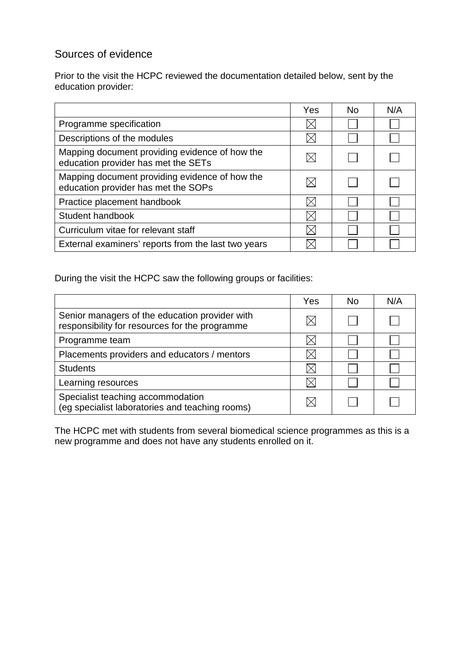### Sources of evidence

Prior to the visit the HCPC reviewed the documentation detailed below, sent by the education provider:

|                                                                                       | Yes | No. | N/A |
|---------------------------------------------------------------------------------------|-----|-----|-----|
| Programme specification                                                               |     |     |     |
| Descriptions of the modules                                                           |     |     |     |
| Mapping document providing evidence of how the<br>education provider has met the SETs |     |     |     |
| Mapping document providing evidence of how the<br>education provider has met the SOPs |     |     |     |
| Practice placement handbook                                                           |     |     |     |
| Student handbook                                                                      |     |     |     |
| Curriculum vitae for relevant staff                                                   |     |     |     |
| External examiners' reports from the last two years                                   |     |     |     |

During the visit the HCPC saw the following groups or facilities:

|                                                                                                  | Yes | No. | N/A |
|--------------------------------------------------------------------------------------------------|-----|-----|-----|
| Senior managers of the education provider with<br>responsibility for resources for the programme |     |     |     |
| Programme team                                                                                   |     |     |     |
| Placements providers and educators / mentors                                                     |     |     |     |
| <b>Students</b>                                                                                  |     |     |     |
| Learning resources                                                                               |     |     |     |
| Specialist teaching accommodation<br>(eg specialist laboratories and teaching rooms)             |     |     |     |

The HCPC met with students from several biomedical science programmes as this is a new programme and does not have any students enrolled on it.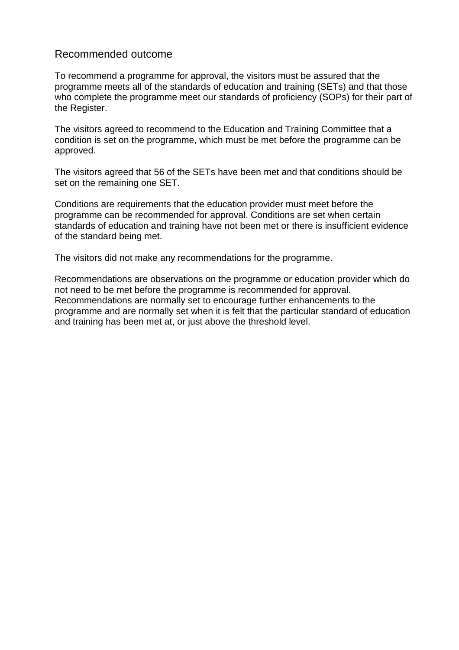#### Recommended outcome

To recommend a programme for approval, the visitors must be assured that the programme meets all of the standards of education and training (SETs) and that those who complete the programme meet our standards of proficiency (SOPs) for their part of the Register.

The visitors agreed to recommend to the Education and Training Committee that a condition is set on the programme, which must be met before the programme can be approved.

The visitors agreed that 56 of the SETs have been met and that conditions should be set on the remaining one SET.

Conditions are requirements that the education provider must meet before the programme can be recommended for approval. Conditions are set when certain standards of education and training have not been met or there is insufficient evidence of the standard being met.

The visitors did not make any recommendations for the programme.

Recommendations are observations on the programme or education provider which do not need to be met before the programme is recommended for approval. Recommendations are normally set to encourage further enhancements to the programme and are normally set when it is felt that the particular standard of education and training has been met at, or just above the threshold level.